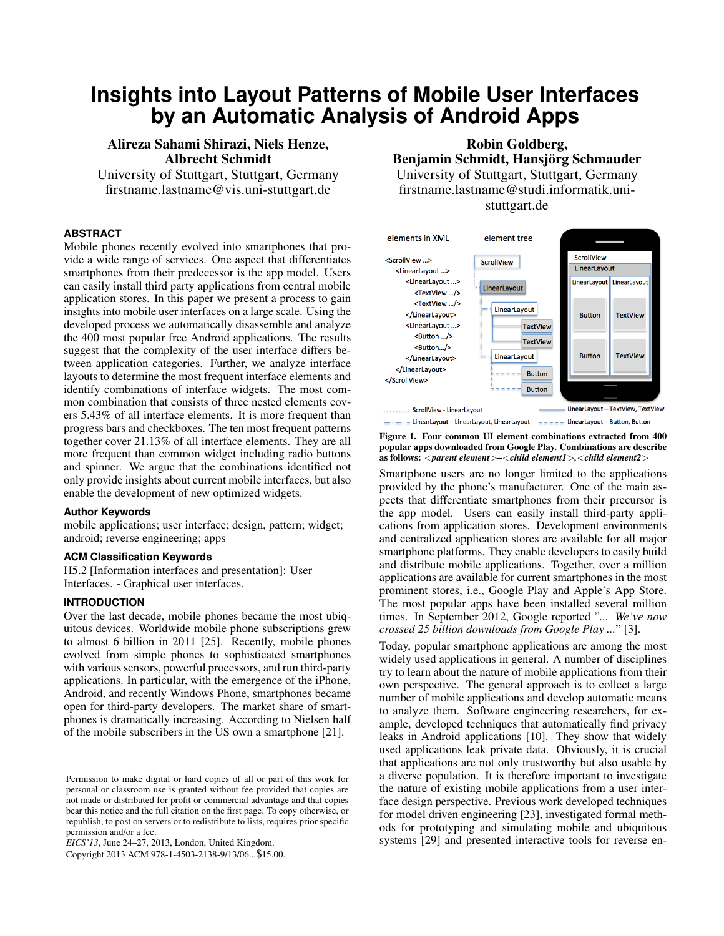# **Insights into Layout Patterns of Mobile User Interfaces by an Automatic Analysis of Android Apps**

## Alireza Sahami Shirazi, Niels Henze, Albrecht Schmidt

University of Stuttgart, Stuttgart, Germany firstname.lastname@vis.uni-stuttgart.de

## **ABSTRACT**

Mobile phones recently evolved into smartphones that provide a wide range of services. One aspect that differentiates smartphones from their predecessor is the app model. Users can easily install third party applications from central mobile application stores. In this paper we present a process to gain insights into mobile user interfaces on a large scale. Using the developed process we automatically disassemble and analyze the 400 most popular free Android applications. The results suggest that the complexity of the user interface differs between application categories. Further, we analyze interface layouts to determine the most frequent interface elements and identify combinations of interface widgets. The most common combination that consists of three nested elements covers 5.43% of all interface elements. It is more frequent than progress bars and checkboxes. The ten most frequent patterns together cover 21.13% of all interface elements. They are all more frequent than common widget including radio buttons and spinner. We argue that the combinations identified not only provide insights about current mobile interfaces, but also enable the development of new optimized widgets.

#### **Author Keywords**

mobile applications; user interface; design, pattern; widget; android; reverse engineering; apps

## **ACM Classification Keywords**

H5.2 [Information interfaces and presentation]: User Interfaces. - Graphical user interfaces.

## **INTRODUCTION**

Over the last decade, mobile phones became the most ubiquitous devices. Worldwide mobile phone subscriptions grew to almost 6 billion in 2011 [\[25\]](#page-9-0). Recently, mobile phones evolved from simple phones to sophisticated smartphones with various sensors, powerful processors, and run third-party applications. In particular, with the emergence of the iPhone, Android, and recently Windows Phone, smartphones became open for third-party developers. The market share of smartphones is dramatically increasing. According to Nielsen half of the mobile subscribers in the US own a smartphone [\[21\]](#page-9-1).

*EICS'13*, June 24–27, 2013, London, United Kingdom.

# Robin Goldberg, Benjamin Schmidt, Hansjörg Schmauder University of Stuttgart, Stuttgart, Germany firstname.lastname@studi.informatik.unistuttgart.de



<span id="page-0-0"></span>Figure 1. Four common UI element combinations extracted from 400 popular apps downloaded from Google Play. Combinations are describe as follows: <*parent element*>*–*<*child element1*>*,*<*child element2*>

Smartphone users are no longer limited to the applications provided by the phone's manufacturer. One of the main aspects that differentiate smartphones from their precursor is the app model. Users can easily install third-party applications from application stores. Development environments and centralized application stores are available for all major smartphone platforms. They enable developers to easily build and distribute mobile applications. Together, over a million applications are available for current smartphones in the most prominent stores, i.e., Google Play and Apple's App Store. The most popular apps have been installed several million times. In September 2012, Google reported "*... We've now crossed 25 billion downloads from Google Play ...*" [\[3\]](#page-9-2).

Today, popular smartphone applications are among the most widely used applications in general. A number of disciplines try to learn about the nature of mobile applications from their own perspective. The general approach is to collect a large number of mobile applications and develop automatic means to analyze them. Software engineering researchers, for example, developed techniques that automatically find privacy leaks in Android applications [\[10\]](#page-9-3). They show that widely used applications leak private data. Obviously, it is crucial that applications are not only trustworthy but also usable by a diverse population. It is therefore important to investigate the nature of existing mobile applications from a user interface design perspective. Previous work developed techniques for model driven engineering [\[23\]](#page-9-4), investigated formal methods for prototyping and simulating mobile and ubiquitous systems [\[29\]](#page-9-5) and presented interactive tools for reverse en-

Permission to make digital or hard copies of all or part of this work for personal or classroom use is granted without fee provided that copies are not made or distributed for profit or commercial advantage and that copies bear this notice and the full citation on the first page. To copy otherwise, or republish, to post on servers or to redistribute to lists, requires prior specific permission and/or a fee.

Copyright 2013 ACM 978-1-4503-2138-9/13/06...\$15.00.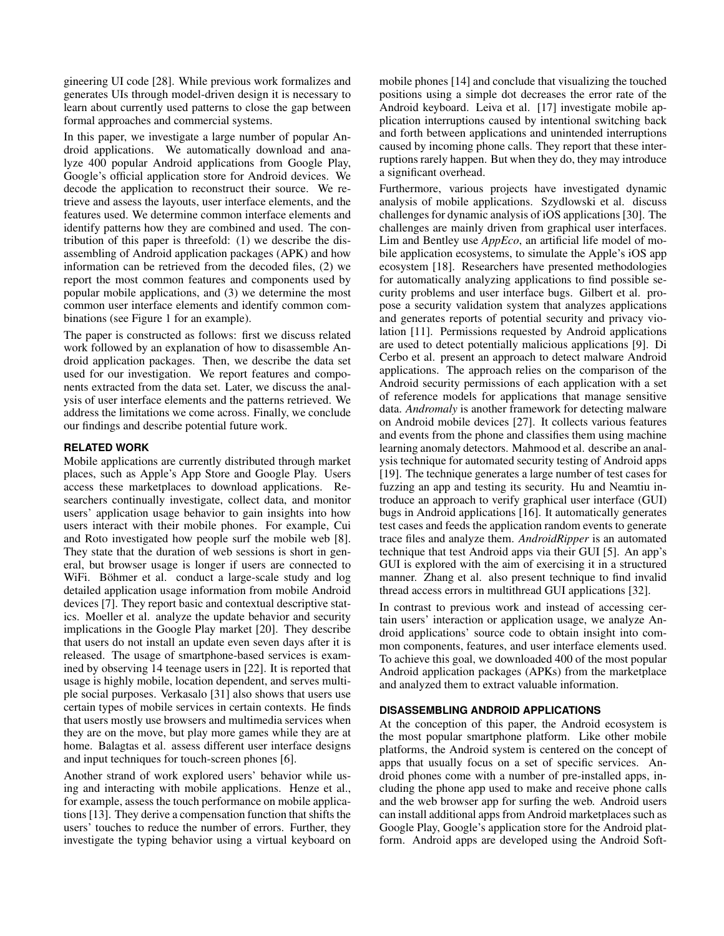gineering UI code [\[28\]](#page-9-6). While previous work formalizes and generates UIs through model-driven design it is necessary to learn about currently used patterns to close the gap between formal approaches and commercial systems.

In this paper, we investigate a large number of popular Android applications. We automatically download and analyze 400 popular Android applications from Google Play, Google's official application store for Android devices. We decode the application to reconstruct their source. We retrieve and assess the layouts, user interface elements, and the features used. We determine common interface elements and identify patterns how they are combined and used. The contribution of this paper is threefold: (1) we describe the disassembling of Android application packages (APK) and how information can be retrieved from the decoded files, (2) we report the most common features and components used by popular mobile applications, and (3) we determine the most common user interface elements and identify common combinations (see Figure [1](#page-0-0) for an example).

The paper is constructed as follows: first we discuss related work followed by an explanation of how to disassemble Android application packages. Then, we describe the data set used for our investigation. We report features and components extracted from the data set. Later, we discuss the analysis of user interface elements and the patterns retrieved. We address the limitations we come across. Finally, we conclude our findings and describe potential future work.

## **RELATED WORK**

Mobile applications are currently distributed through market places, such as Apple's App Store and Google Play. Users access these marketplaces to download applications. Researchers continually investigate, collect data, and monitor users' application usage behavior to gain insights into how users interact with their mobile phones. For example, Cui and Roto investigated how people surf the mobile web [\[8\]](#page-9-7). They state that the duration of web sessions is short in general, but browser usage is longer if users are connected to WiFi. Böhmer et al. conduct a large-scale study and log detailed application usage information from mobile Android devices [\[7\]](#page-9-8). They report basic and contextual descriptive statics. Moeller et al. analyze the update behavior and security implications in the Google Play market [\[20\]](#page-9-9). They describe that users do not install an update even seven days after it is released. The usage of smartphone-based services is examined by observing 14 teenage users in [\[22\]](#page-9-10). It is reported that usage is highly mobile, location dependent, and serves multiple social purposes. Verkasalo [\[31\]](#page-9-11) also shows that users use certain types of mobile services in certain contexts. He finds that users mostly use browsers and multimedia services when they are on the move, but play more games while they are at home. Balagtas et al. assess different user interface designs and input techniques for touch-screen phones [\[6\]](#page-9-12).

Another strand of work explored users' behavior while using and interacting with mobile applications. Henze et al., for example, assess the touch performance on mobile applications [\[13\]](#page-9-13). They derive a compensation function that shifts the users' touches to reduce the number of errors. Further, they investigate the typing behavior using a virtual keyboard on

mobile phones [\[14\]](#page-9-14) and conclude that visualizing the touched positions using a simple dot decreases the error rate of the Android keyboard. Leiva et al. [\[17\]](#page-9-15) investigate mobile application interruptions caused by intentional switching back and forth between applications and unintended interruptions caused by incoming phone calls. They report that these interruptions rarely happen. But when they do, they may introduce a significant overhead.

Furthermore, various projects have investigated dynamic analysis of mobile applications. Szydlowski et al. discuss challenges for dynamic analysis of iOS applications [\[30\]](#page-9-16). The challenges are mainly driven from graphical user interfaces. Lim and Bentley use *AppEco*, an artificial life model of mobile application ecosystems, to simulate the Apple's iOS app ecosystem [\[18\]](#page-9-17). Researchers have presented methodologies for automatically analyzing applications to find possible security problems and user interface bugs. Gilbert et al. propose a security validation system that analyzes applications and generates reports of potential security and privacy violation [\[11\]](#page-9-18). Permissions requested by Android applications are used to detect potentially malicious applications [\[9\]](#page-9-19). Di Cerbo et al. present an approach to detect malware Android applications. The approach relies on the comparison of the Android security permissions of each application with a set of reference models for applications that manage sensitive data. *Andromaly* is another framework for detecting malware on Android mobile devices [\[27\]](#page-9-20). It collects various features and events from the phone and classifies them using machine learning anomaly detectors. Mahmood et al. describe an analysis technique for automated security testing of Android apps [\[19\]](#page-9-21). The technique generates a large number of test cases for fuzzing an app and testing its security. Hu and Neamtiu introduce an approach to verify graphical user interface (GUI) bugs in Android applications [\[16\]](#page-9-22). It automatically generates test cases and feeds the application random events to generate trace files and analyze them. *AndroidRipper* is an automated technique that test Android apps via their GUI [\[5\]](#page-9-23). An app's GUI is explored with the aim of exercising it in a structured manner. Zhang et al. also present technique to find invalid thread access errors in multithread GUI applications [\[32\]](#page-9-24).

In contrast to previous work and instead of accessing certain users' interaction or application usage, we analyze Android applications' source code to obtain insight into common components, features, and user interface elements used. To achieve this goal, we downloaded 400 of the most popular Android application packages (APKs) from the marketplace and analyzed them to extract valuable information.

## **DISASSEMBLING ANDROID APPLICATIONS**

At the conception of this paper, the Android ecosystem is the most popular smartphone platform. Like other mobile platforms, the Android system is centered on the concept of apps that usually focus on a set of specific services. Android phones come with a number of pre-installed apps, including the phone app used to make and receive phone calls and the web browser app for surfing the web. Android users can install additional apps from Android marketplaces such as Google Play, Google's application store for the Android platform. Android apps are developed using the Android Soft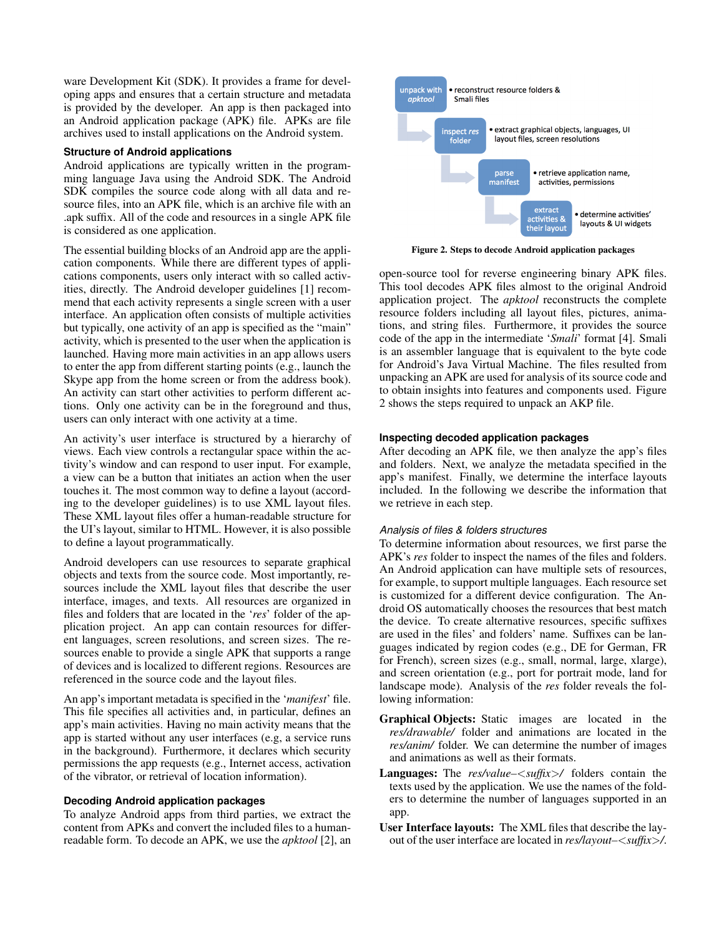ware Development Kit (SDK). It provides a frame for developing apps and ensures that a certain structure and metadata is provided by the developer. An app is then packaged into an Android application package (APK) file. APKs are file archives used to install applications on the Android system.

## **Structure of Android applications**

Android applications are typically written in the programming language Java using the Android SDK. The Android SDK compiles the source code along with all data and resource files, into an APK file, which is an archive file with an .apk suffix. All of the code and resources in a single APK file is considered as one application.

The essential building blocks of an Android app are the application components. While there are different types of applications components, users only interact with so called activities, directly. The Android developer guidelines [\[1\]](#page-9-25) recommend that each activity represents a single screen with a user interface. An application often consists of multiple activities but typically, one activity of an app is specified as the "main" activity, which is presented to the user when the application is launched. Having more main activities in an app allows users to enter the app from different starting points (e.g., launch the Skype app from the home screen or from the address book). An activity can start other activities to perform different actions. Only one activity can be in the foreground and thus, users can only interact with one activity at a time.

An activity's user interface is structured by a hierarchy of views. Each view controls a rectangular space within the activity's window and can respond to user input. For example, a view can be a button that initiates an action when the user touches it. The most common way to define a layout (according to the developer guidelines) is to use XML layout files. These XML layout files offer a human-readable structure for the UI's layout, similar to HTML. However, it is also possible to define a layout programmatically.

Android developers can use resources to separate graphical objects and texts from the source code. Most importantly, resources include the XML layout files that describe the user interface, images, and texts. All resources are organized in files and folders that are located in the '*res*' folder of the application project. An app can contain resources for different languages, screen resolutions, and screen sizes. The resources enable to provide a single APK that supports a range of devices and is localized to different regions. Resources are referenced in the source code and the layout files.

An app's important metadata is specified in the '*manifest*' file. This file specifies all activities and, in particular, defines an app's main activities. Having no main activity means that the app is started without any user interfaces (e.g, a service runs in the background). Furthermore, it declares which security permissions the app requests (e.g., Internet access, activation of the vibrator, or retrieval of location information).

#### **Decoding Android application packages**

To analyze Android apps from third parties, we extract the content from APKs and convert the included files to a humanreadable form. To decode an APK, we use the *apktool* [\[2\]](#page-9-26), an



<span id="page-2-0"></span>Figure 2. Steps to decode Android application packages

open-source tool for reverse engineering binary APK files. This tool decodes APK files almost to the original Android application project. The *apktool* reconstructs the complete resource folders including all layout files, pictures, animations, and string files. Furthermore, it provides the source code of the app in the intermediate '*Smali*' format [\[4\]](#page-9-27). Smali is an assembler language that is equivalent to the byte code for Android's Java Virtual Machine. The files resulted from unpacking an APK are used for analysis of its source code and to obtain insights into features and components used. Figure [2](#page-2-0) shows the steps required to unpack an AKP file.

#### **Inspecting decoded application packages**

After decoding an APK file, we then analyze the app's files and folders. Next, we analyze the metadata specified in the app's manifest. Finally, we determine the interface layouts included. In the following we describe the information that we retrieve in each step.

#### *Analysis of files & folders structures*

To determine information about resources, we first parse the APK's *res* folder to inspect the names of the files and folders. An Android application can have multiple sets of resources, for example, to support multiple languages. Each resource set is customized for a different device configuration. The Android OS automatically chooses the resources that best match the device. To create alternative resources, specific suffixes are used in the files' and folders' name. Suffixes can be languages indicated by region codes (e.g., DE for German, FR for French), screen sizes (e.g., small, normal, large, xlarge), and screen orientation (e.g., port for portrait mode, land for landscape mode). Analysis of the *res* folder reveals the following information:

- Graphical Objects: Static images are located in the *res/drawable/* folder and animations are located in the *res/anim/* folder. We can determine the number of images and animations as well as their formats.
- Languages: The *res/value–*<*suffix*>*/* folders contain the texts used by the application. We use the names of the folders to determine the number of languages supported in an app.
- User Interface layouts: The XML files that describe the layout of the user interface are located in *res/layout–*<*suffix*>*/*.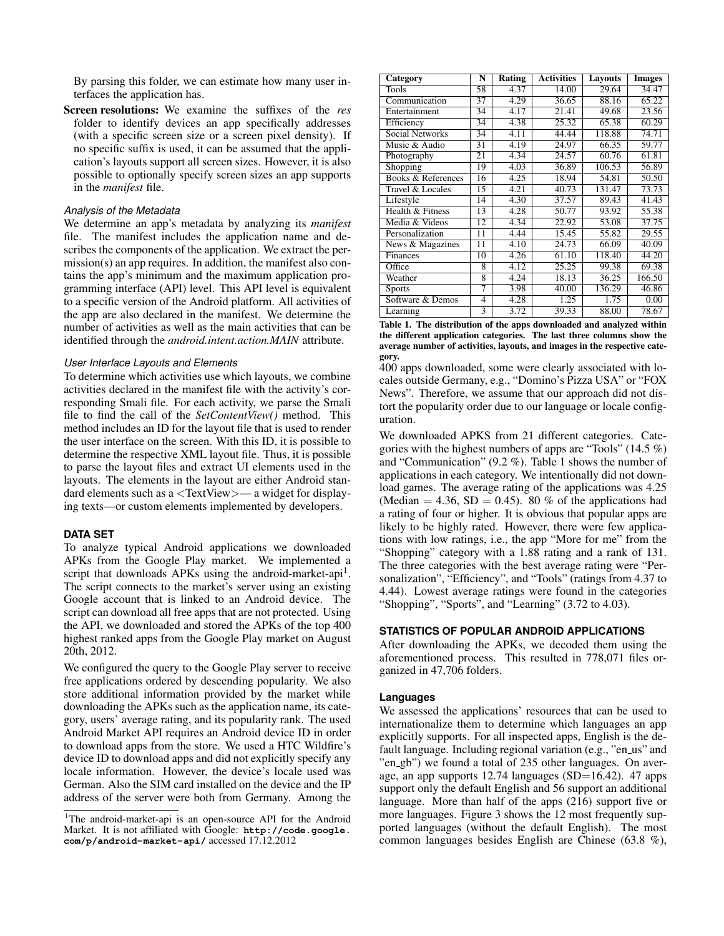By parsing this folder, we can estimate how many user interfaces the application has.

Screen resolutions: We examine the suffixes of the *res* folder to identify devices an app specifically addresses (with a specific screen size or a screen pixel density). If no specific suffix is used, it can be assumed that the application's layouts support all screen sizes. However, it is also possible to optionally specify screen sizes an app supports in the *manifest* file.

#### *Analysis of the Metadata*

We determine an app's metadata by analyzing its *manifest* file. The manifest includes the application name and describes the components of the application. We extract the permission(s) an app requires. In addition, the manifest also contains the app's minimum and the maximum application programming interface (API) level. This API level is equivalent to a specific version of the Android platform. All activities of the app are also declared in the manifest. We determine the number of activities as well as the main activities that can be identified through the *android.intent.action.MAIN* attribute.

## *User Interface Layouts and Elements*

To determine which activities use which layouts, we combine activities declared in the manifest file with the activity's corresponding Smali file. For each activity, we parse the Smali file to find the call of the *SetContentView()* method. This method includes an ID for the layout file that is used to render the user interface on the screen. With this ID, it is possible to determine the respective XML layout file. Thus, it is possible to parse the layout files and extract UI elements used in the layouts. The elements in the layout are either Android standard elements such as a <TextView>— a widget for displaying texts—or custom elements implemented by developers.

## **DATA SET**

To analyze typical Android applications we downloaded APKs from the Google Play market. We implemented a script that downloads APKs using the android-market-api<sup>[1](#page-3-0)</sup>. The script connects to the market's server using an existing Google account that is linked to an Android device. The script can download all free apps that are not protected. Using the API, we downloaded and stored the APKs of the top 400 highest ranked apps from the Google Play market on August 20th, 2012.

We configured the query to the Google Play server to receive free applications ordered by descending popularity. We also store additional information provided by the market while downloading the APKs such as the application name, its category, users' average rating, and its popularity rank. The used Android Market API requires an Android device ID in order to download apps from the store. We used a HTC Wildfire's device ID to download apps and did not explicitly specify any locale information. However, the device's locale used was German. Also the SIM card installed on the device and the IP address of the server were both from Germany. Among the

| Category               | $\overline{\mathbf{N}}$ | Rating | <b>Activities</b> | Layouts | <b>Images</b> |
|------------------------|-------------------------|--------|-------------------|---------|---------------|
| Tools                  | 58                      | 4.37   | 14.00             | 29.64   | 34.47         |
| Communication          | 37                      | 4.29   | 36.65             | 88.16   | 65.22         |
| Entertainment          | 34                      | 4.17   | 21.41             | 49.68   | 23.56         |
| Efficiency             | 34                      | 4.38   | 25.32             | 65.38   | 60.29         |
| <b>Social Networks</b> | 34                      | 4.11   | 44.44             | 118.88  | 74.71         |
| Music & Audio          | 31                      | 4.19   | 24.97             | 66.35   | 59.77         |
| Photography            | 21                      | 4.34   | 24.57             | 60.76   | 61.81         |
| Shopping               | 19                      | 4.03   | 36.89             | 106.53  | 56.89         |
| Books & References     | 16                      | 4.25   | 18.94             | 54.81   | 50.50         |
| Travel & Locales       | 15                      | 4.21   | 40.73             | 131.47  | 73.73         |
| Lifestyle              | 14                      | 4.30   | 37.57             | 89.43   | 41.43         |
| Health & Fitness       | 13                      | 4.28   | 50.77             | 93.92   | 55.38         |
| Media & Videos         | 12                      | 4.34   | 22.92             | 53.08   | 37.75         |
| Personalization        | 11                      | 4.44   | 15.45             | 55.82   | 29.55         |
| News & Magazines       | 11                      | 4.10   | 24.73             | 66.09   | 40.09         |
| Finances               | 10                      | 4.26   | 61.10             | 118.40  | 44.20         |
| Office                 | 8                       | 4.12   | 25.25             | 99.38   | 69.38         |
| Weather                | 8                       | 4.24   | 18.13             | 36.25   | 166.50        |
| <b>Sports</b>          | 7                       | 3.98   | 40.00             | 136.29  | 46.86         |
| Software & Demos       | 4                       | 4.28   | 1.25              | 1.75    | 0.00          |
| Learning               | 3                       | 3.72   | 39.33             | 88.00   | 78.67         |

<span id="page-3-1"></span>Table 1. The distribution of the apps downloaded and analyzed within the different application categories. The last three columns show the average number of activities, layouts, and images in the respective category.

400 apps downloaded, some were clearly associated with locales outside Germany, e.g., "Domino's Pizza USA" or "FOX News". Therefore, we assume that our approach did not distort the popularity order due to our language or locale configuration.

We downloaded APKS from 21 different categories. Categories with the highest numbers of apps are "Tools" (14.5 %) and "Communication" (9.2 %). [Table 1](#page-3-1) shows the number of applications in each category. We intentionally did not download games. The average rating of the applications was 4.25 (Median = 4.36, SD = 0.45). 80 % of the applications had a rating of four or higher. It is obvious that popular apps are likely to be highly rated. However, there were few applications with low ratings, i.e., the app "More for me" from the "Shopping" category with a 1.88 rating and a rank of 131. The three categories with the best average rating were "Personalization", "Efficiency", and "Tools" (ratings from 4.37 to 4.44). Lowest average ratings were found in the categories "Shopping", "Sports", and "Learning" (3.72 to 4.03).

## **STATISTICS OF POPULAR ANDROID APPLICATIONS**

After downloading the APKs, we decoded them using the aforementioned process. This resulted in 778,071 files organized in 47,706 folders.

#### **Languages**

We assessed the applications' resources that can be used to internationalize them to determine which languages an app explicitly supports. For all inspected apps, English is the default language. Including regional variation (e.g., "en\_us" and "en\_gb") we found a total of 235 other languages. On average, an app supports  $12.74$  languages (SD=16.42). 47 apps support only the default English and 56 support an additional language. More than half of the apps (216) support five or more languages. Figure [3](#page-4-0) shows the 12 most frequently supported languages (without the default English). The most common languages besides English are Chinese (63.8 %),

<span id="page-3-0"></span><sup>&</sup>lt;sup>1</sup>The android-market-api is an open-source API for the Android Market. It is not affiliated with Google: **[http://code.google.](http://code.google.com/p/android-market-api/) [com/p/android-market-api/](http://code.google.com/p/android-market-api/)** accessed 17.12.2012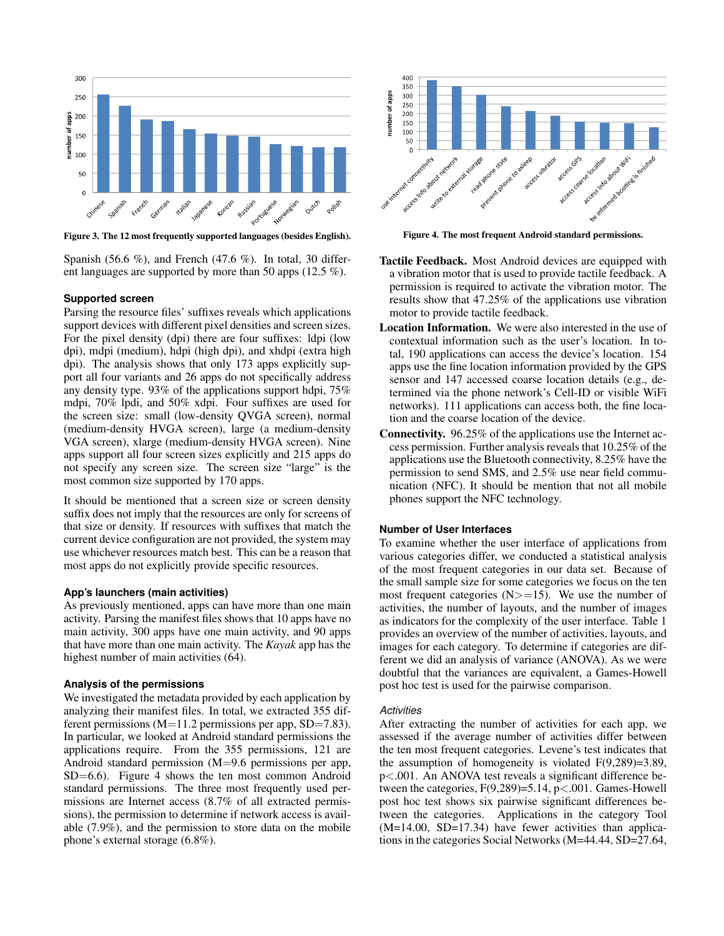

<span id="page-4-0"></span>Figure 3. The 12 most frequently supported languages (besides English).

Spanish (56.6 %), and French (47.6 %). In total, 30 different languages are supported by more than 50 apps (12.5 %).

#### **Supported screen**

Parsing the resource files' suffixes reveals which applications support devices with different pixel densities and screen sizes. For the pixel density (dpi) there are four suffixes: ldpi (low dpi), mdpi (medium), hdpi (high dpi), and xhdpi (extra high dpi). The analysis shows that only 173 apps explicitly support all four variants and 26 apps do not specifically address any density type. 93% of the applications support hdpi, 75% mdpi, 70% lpdi, and 50% xdpi. Four suffixes are used for the screen size: small (low-density QVGA screen), normal (medium-density HVGA screen), large (a medium-density VGA screen), xlarge (medium-density HVGA screen). Nine apps support all four screen sizes explicitly and 215 apps do not specify any screen size. The screen size "large" is the most common size supported by 170 apps.

It should be mentioned that a screen size or screen density suffix does not imply that the resources are only for screens of that size or density. If resources with suffixes that match the current device configuration are not provided, the system may use whichever resources match best. This can be a reason that most apps do not explicitly provide specific resources.

#### **App's launchers (main activities)**

As previously mentioned, apps can have more than one main activity. Parsing the manifest files shows that 10 apps have no main activity, 300 apps have one main activity, and 90 apps that have more than one main activity. The *Kayak* app has the highest number of main activities (64).

#### **Analysis of the permissions**

We investigated the metadata provided by each application by analyzing their manifest files. In total, we extracted 355 different permissions ( $M=11.2$  permissions per app,  $SD=7.83$ ). In particular, we looked at Android standard permissions the applications require. From the 355 permissions, 121 are Android standard permission (M=9.6 permissions per app, SD=6.6). Figure [4](#page-4-1) shows the ten most common Android standard permissions. The three most frequently used permissions are Internet access (8.7% of all extracted permissions), the permission to determine if network access is available (7.9%), and the permission to store data on the mobile phone's external storage (6.8%).



<span id="page-4-1"></span>Figure 4. The most frequent Android standard permissions.

- Tactile Feedback. Most Android devices are equipped with a vibration motor that is used to provide tactile feedback. A permission is required to activate the vibration motor. The results show that 47.25% of the applications use vibration motor to provide tactile feedback.
- Location Information. We were also interested in the use of contextual information such as the user's location. In total, 190 applications can access the device's location. 154 apps use the fine location information provided by the GPS sensor and 147 accessed coarse location details (e.g., determined via the phone network's Cell-ID or visible WiFi networks). 111 applications can access both, the fine location and the coarse location of the device.
- Connectivity. 96.25% of the applications use the Internet access permission. Further analysis reveals that 10.25% of the applications use the Bluetooth connectivity, 8.25% have the permission to send SMS, and 2.5% use near field communication (NFC). It should be mention that not all mobile phones support the NFC technology.

#### **Number of User Interfaces**

To examine whether the user interface of applications from various categories differ, we conducted a statistical analysis of the most frequent categories in our data set. Because of the small sample size for some categories we focus on the ten most frequent categories  $(N>=15)$ . We use the number of activities, the number of layouts, and the number of images as indicators for the complexity of the user interface. Table [1](#page-3-1) provides an overview of the number of activities, layouts, and images for each category. To determine if categories are different we did an analysis of variance (ANOVA). As we were doubtful that the variances are equivalent, a Games-Howell post hoc test is used for the pairwise comparison.

#### *Activities*

After extracting the number of activities for each app, we assessed if the average number of activities differ between the ten most frequent categories. Levene's test indicates that the assumption of homogeneity is violated  $F(9,289)=3.89$ , p<.001. An ANOVA test reveals a significant difference between the categories,  $F(9,289)=5.14$ ,  $p<.001$ . Games-Howell post hoc test shows six pairwise significant differences between the categories. Applications in the category Tool  $(M=14.00, SD=17.34)$  have fewer activities than applications in the categories Social Networks (M=44.44, SD=27.64,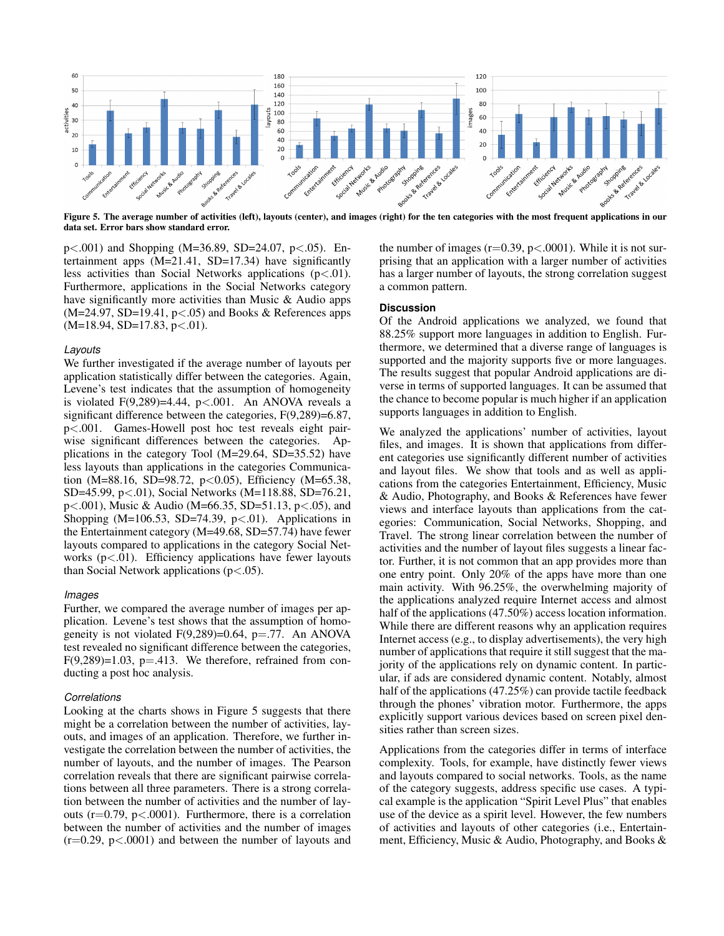

<span id="page-5-0"></span>data set. Error bars show standard error.

p<.001) and Shopping (M=36.89, SD=24.07, p<.05). Entertainment apps  $(M=21.41, SD=17.34)$  have significantly less activities than Social Networks applications  $(p<.01)$ . Furthermore, applications in the Social Networks category have significantly more activities than Music & Audio apps  $(M=24.97, SD=19.41, p<.05)$  and Books & References apps  $(M=18.94, SD=17.83, p<.01).$ 

#### *Layouts*

We further investigated if the average number of layouts per application statistically differ between the categories. Again, Levene's test indicates that the assumption of homogeneity is violated  $F(9,289)=4.44$ ,  $p<.001$ . An ANOVA reveals a significant difference between the categories, F(9,289)=6.87, p<.001. Games-Howell post hoc test reveals eight pairwise significant differences between the categories. Applications in the category Tool (M=29.64, SD=35.52) have less layouts than applications in the categories Communication (M=88.16, SD=98.72, p<0.05), Efficiency (M=65.38, SD=45.99, p<.01), Social Networks (M=118.88, SD=76.21, p<.001), Music & Audio (M=66.35, SD=51.13, p<.05), and Shopping (M=106.53, SD=74.39, p $<$ .01). Applications in the Entertainment category (M=49.68, SD=57.74) have fewer layouts compared to applications in the category Social Networks  $(p<.01)$ . Efficiency applications have fewer layouts than Social Network applications  $(p<.05)$ .

#### *Images*

Further, we compared the average number of images per application. Levene's test shows that the assumption of homogeneity is not violated  $F(9,289)=0.64$ , p=.77. An ANOVA test revealed no significant difference between the categories,  $F(9,289)=1.03$ ,  $p=.413$ . We therefore, refrained from conducting a post hoc analysis.

#### *Correlations*

Looking at the charts shows in Figure [5](#page-5-0) suggests that there might be a correlation between the number of activities, layouts, and images of an application. Therefore, we further investigate the correlation between the number of activities, the number of layouts, and the number of images. The Pearson correlation reveals that there are significant pairwise correlations between all three parameters. There is a strong correlation between the number of activities and the number of layouts ( $r=0.79$ ,  $p<0.001$ ). Furthermore, there is a correlation between the number of activities and the number of images  $(r=0.29, p<0.001)$  and between the number of layouts and the number of images ( $r=0.39$ ,  $p<0.001$ ). While it is not surprising that an application with a larger number of activities has a larger number of layouts, the strong correlation suggest a common pattern.

#### **Discussion**

Of the Android applications we analyzed, we found that 88.25% support more languages in addition to English. Furthermore, we determined that a diverse range of languages is supported and the majority supports five or more languages. The results suggest that popular Android applications are diverse in terms of supported languages. It can be assumed that the chance to become popular is much higher if an application supports languages in addition to English.

We analyzed the applications' number of activities, layout files, and images. It is shown that applications from different categories use significantly different number of activities and layout files. We show that tools and as well as applications from the categories Entertainment, Efficiency, Music & Audio, Photography, and Books & References have fewer views and interface layouts than applications from the categories: Communication, Social Networks, Shopping, and Travel. The strong linear correlation between the number of activities and the number of layout files suggests a linear factor. Further, it is not common that an app provides more than one entry point. Only 20% of the apps have more than one main activity. With 96.25%, the overwhelming majority of the applications analyzed require Internet access and almost half of the applications (47.50%) access location information. While there are different reasons why an application requires Internet access (e.g., to display advertisements), the very high number of applications that require it still suggest that the majority of the applications rely on dynamic content. In particular, if ads are considered dynamic content. Notably, almost half of the applications (47.25%) can provide tactile feedback through the phones' vibration motor. Furthermore, the apps explicitly support various devices based on screen pixel densities rather than screen sizes.

Applications from the categories differ in terms of interface complexity. Tools, for example, have distinctly fewer views and layouts compared to social networks. Tools, as the name of the category suggests, address specific use cases. A typical example is the application "Spirit Level Plus" that enables use of the device as a spirit level. However, the few numbers of activities and layouts of other categories (i.e., Entertainment, Efficiency, Music & Audio, Photography, and Books &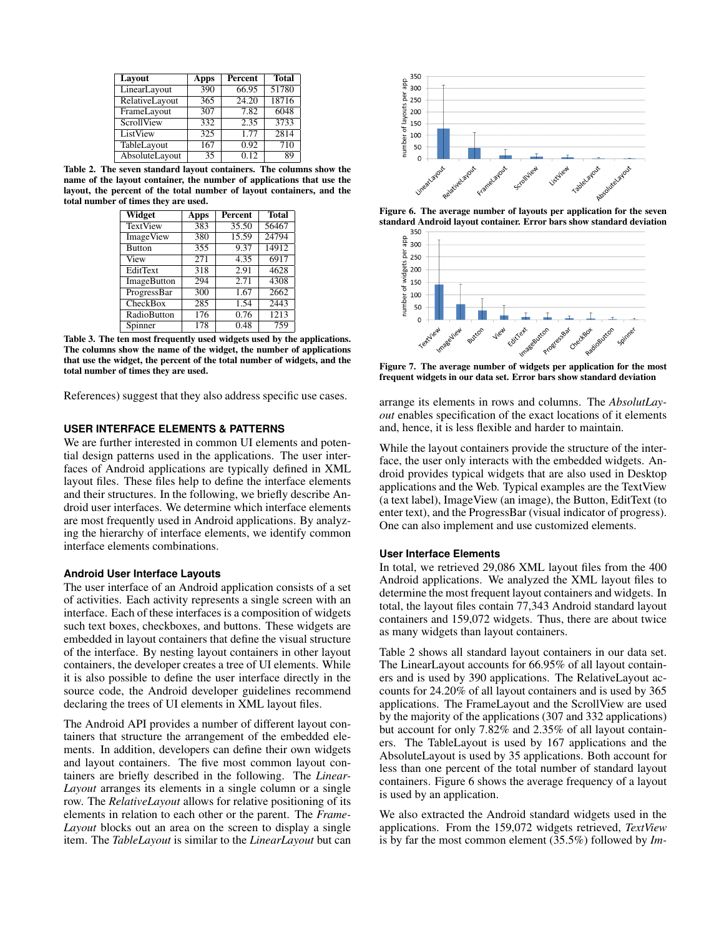| Layout         | Apps | Percent | <b>Total</b> |
|----------------|------|---------|--------------|
| LinearLayout   | 390  | 66.95   | 51780        |
| RelativeLayout | 365  | 24.20   | 18716        |
| FrameLayout    | 307  | 7.82    | 6048         |
| ScrollView     | 332  | 2.35    | 3733         |
| ListView       | 325  | 1.77    | 2814         |
| TableLayout    | 167  | 0.92    | 710          |
| AbsoluteLayout | 35   | 0.12    | 89           |

<span id="page-6-0"></span>Table 2. The seven standard layout containers. The columns show the name of the layout container, the number of applications that use the layout, the percent of the total number of layout containers, and the total number of times they are used.

| Widget             | Apps | Percent | <b>Total</b> |
|--------------------|------|---------|--------------|
| <b>TextView</b>    | 383  | 35.50   | 56467        |
| ImageView          | 380  | 15.59   | 24794        |
| <b>Button</b>      | 355  | 9.37    | 14912        |
| View               | 271  | 4.35    | 6917         |
| EditText           | 318  | 2.91    | 4628         |
| <b>ImageButton</b> | 294  | 2.71    | 4308         |
| ProgressBar        | 300  | 1.67    | 2662         |
| CheckBox           | 285  | 1.54    | 2443         |
| RadioButton        | 176  | 0.76    | 1213         |
| Spinner            | 178  | 0.48    | 759          |

<span id="page-6-2"></span>Table 3. The ten most frequently used widgets used by the applications. The columns show the name of the widget, the number of applications that use the widget, the percent of the total number of widgets, and the total number of times they are used.

References) suggest that they also address specific use cases.

## **USER INTERFACE ELEMENTS & PATTERNS**

We are further interested in common UI elements and potential design patterns used in the applications. The user interfaces of Android applications are typically defined in XML layout files. These files help to define the interface elements and their structures. In the following, we briefly describe Android user interfaces. We determine which interface elements are most frequently used in Android applications. By analyzing the hierarchy of interface elements, we identify common interface elements combinations.

## **Android User Interface Layouts**

The user interface of an Android application consists of a set of activities. Each activity represents a single screen with an interface. Each of these interfaces is a composition of widgets such text boxes, checkboxes, and buttons. These widgets are embedded in layout containers that define the visual structure of the interface. By nesting layout containers in other layout containers, the developer creates a tree of UI elements. While it is also possible to define the user interface directly in the source code, the Android developer guidelines recommend declaring the trees of UI elements in XML layout files.

The Android API provides a number of different layout containers that structure the arrangement of the embedded elements. In addition, developers can define their own widgets and layout containers. The five most common layout containers are briefly described in the following. The *Linear-Layout* arranges its elements in a single column or a single row. The *RelativeLayout* allows for relative positioning of its elements in relation to each other or the parent. The *Frame-Layout* blocks out an area on the screen to display a single item. The *TableLayout* is similar to the *LinearLayout* but can



Figure 6. The average number of layouts per application for the seven standard Android layout container. Error bars show standard deviation  $350$ 

<span id="page-6-1"></span>

<span id="page-6-3"></span>Figure 7. The average number of widgets per application for the most frequent widgets in our data set. Error bars show standard deviation

arrange its elements in rows and columns. The *AbsolutLayout* enables specification of the exact locations of it elements and, hence, it is less flexible and harder to maintain.

While the layout containers provide the structure of the interface, the user only interacts with the embedded widgets. Android provides typical widgets that are also used in Desktop applications and the Web. Typical examples are the TextView (a text label), ImageView (an image), the Button, EditText (to enter text), and the ProgressBar (visual indicator of progress). One can also implement and use customized elements.

## **User Interface Elements**

In total, we retrieved 29,086 XML layout files from the 400 Android applications. We analyzed the XML layout files to determine the most frequent layout containers and widgets. In total, the layout files contain 77,343 Android standard layout containers and 159,072 widgets. Thus, there are about twice as many widgets than layout containers.

Table [2](#page-6-0) shows all standard layout containers in our data set. The LinearLayout accounts for 66.95% of all layout containers and is used by 390 applications. The RelativeLayout accounts for 24.20% of all layout containers and is used by 365 applications. The FrameLayout and the ScrollView are used by the majority of the applications (307 and 332 applications) but account for only 7.82% and 2.35% of all layout containers. The TableLayout is used by 167 applications and the AbsoluteLayout is used by 35 applications. Both account for less than one percent of the total number of standard layout containers. Figure [6](#page-6-1) shows the average frequency of a layout is used by an application.

We also extracted the Android standard widgets used in the applications. From the 159,072 widgets retrieved, *TextView* is by far the most common element (35.5%) followed by *Im-*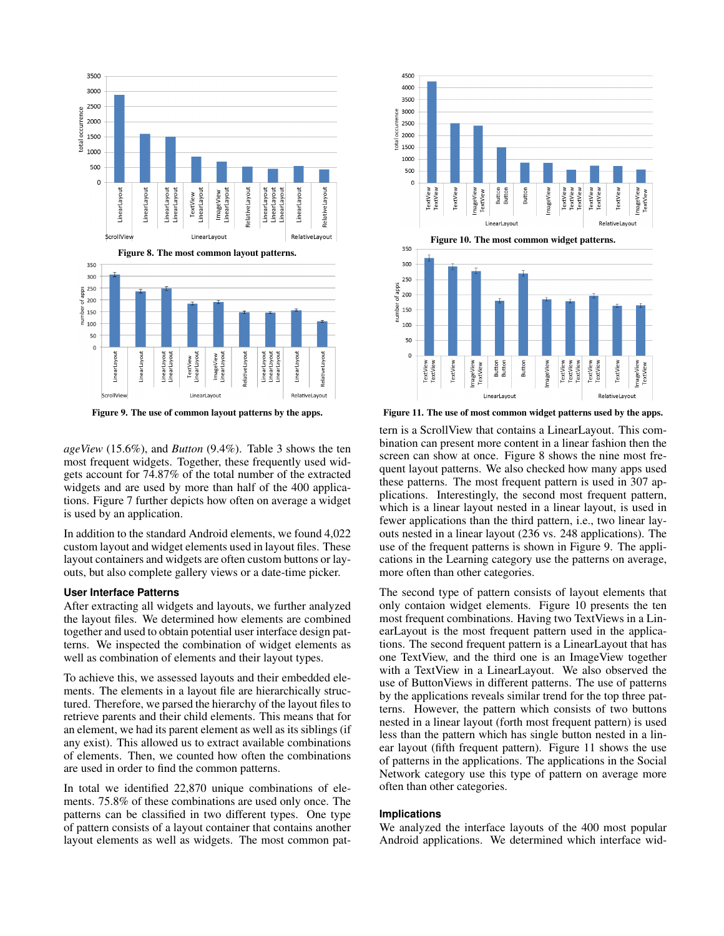

<span id="page-7-1"></span><span id="page-7-0"></span>Figure 9. The use of common layout patterns by the apps.

*ageView* (15.6%), and *Button* (9.4%). Table [3](#page-6-2) shows the ten most frequent widgets. Together, these frequently used widgets account for 74.87% of the total number of the extracted widgets and are used by more than half of the 400 applications. Figure [7](#page-6-3) further depicts how often on average a widget is used by an application.

In addition to the standard Android elements, we found 4,022 custom layout and widget elements used in layout files. These layout containers and widgets are often custom buttons or layouts, but also complete gallery views or a date-time picker.

## **User Interface Patterns**

After extracting all widgets and layouts, we further analyzed the layout files. We determined how elements are combined together and used to obtain potential user interface design patterns. We inspected the combination of widget elements as well as combination of elements and their layout types.

To achieve this, we assessed layouts and their embedded elements. The elements in a layout file are hierarchically structured. Therefore, we parsed the hierarchy of the layout files to retrieve parents and their child elements. This means that for an element, we had its parent element as well as its siblings (if any exist). This allowed us to extract available combinations of elements. Then, we counted how often the combinations are used in order to find the common patterns.

In total we identified 22,870 unique combinations of elements. 75.8% of these combinations are used only once. The patterns can be classified in two different types. One type of pattern consists of a layout container that contains another layout elements as well as widgets. The most common pat-

<span id="page-7-2"></span>

<span id="page-7-3"></span>Figure 11. The use of most common widget patterns used by the apps.

tern is a ScrollView that contains a LinearLayout. This combination can present more content in a linear fashion then the screen can show at once. Figure [8](#page-7-0) shows the nine most frequent layout patterns. We also checked how many apps used these patterns. The most frequent pattern is used in 307 applications. Interestingly, the second most frequent pattern, which is a linear layout nested in a linear layout, is used in fewer applications than the third pattern, i.e., two linear layouts nested in a linear layout (236 vs. 248 applications). The use of the frequent patterns is shown in Figure [9.](#page-7-1) The applications in the Learning category use the patterns on average, more often than other categories.

The second type of pattern consists of layout elements that only contaion widget elements. Figure [10](#page-7-2) presents the ten most frequent combinations. Having two TextViews in a LinearLayout is the most frequent pattern used in the applications. The second frequent pattern is a LinearLayout that has one TextView, and the third one is an ImageView together with a TextView in a LinearLayout. We also observed the use of ButtonViews in different patterns. The use of patterns by the applications reveals similar trend for the top three patterns. However, the pattern which consists of two buttons nested in a linear layout (forth most frequent pattern) is used less than the pattern which has single button nested in a linear layout (fifth frequent pattern). Figure [11](#page-7-3) shows the use of patterns in the applications. The applications in the Social Network category use this type of pattern on average more often than other categories.

#### **Implications**

We analyzed the interface layouts of the 400 most popular Android applications. We determined which interface wid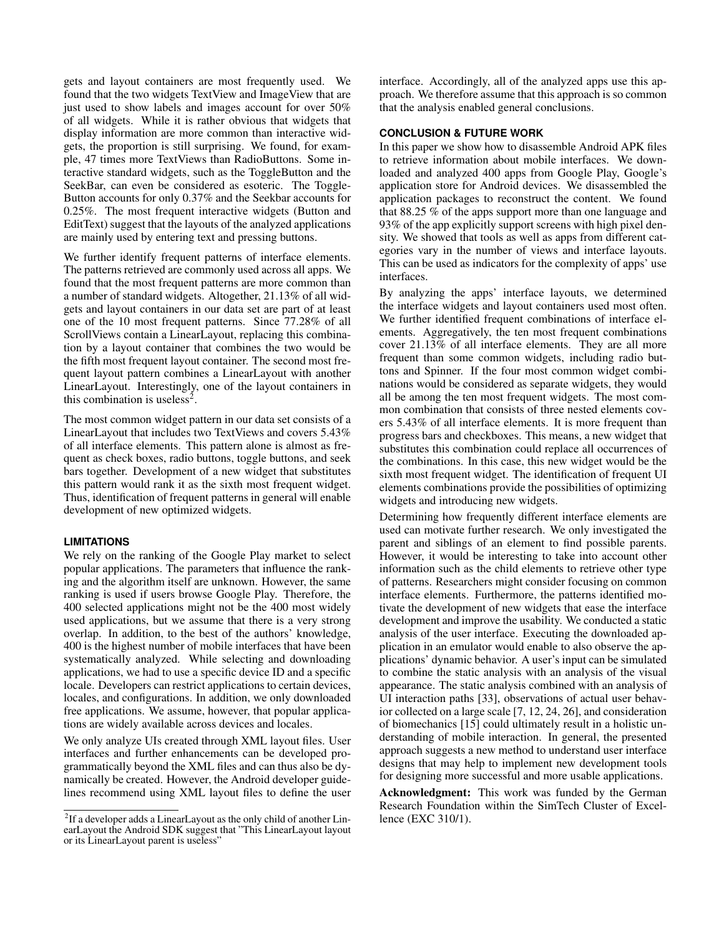gets and layout containers are most frequently used. We found that the two widgets TextView and ImageView that are just used to show labels and images account for over 50% of all widgets. While it is rather obvious that widgets that display information are more common than interactive widgets, the proportion is still surprising. We found, for example, 47 times more TextViews than RadioButtons. Some interactive standard widgets, such as the ToggleButton and the SeekBar, can even be considered as esoteric. The Toggle-Button accounts for only 0.37% and the Seekbar accounts for 0.25%. The most frequent interactive widgets (Button and EditText) suggest that the layouts of the analyzed applications are mainly used by entering text and pressing buttons.

We further identify frequent patterns of interface elements. The patterns retrieved are commonly used across all apps. We found that the most frequent patterns are more common than a number of standard widgets. Altogether, 21.13% of all widgets and layout containers in our data set are part of at least one of the 10 most frequent patterns. Since 77.28% of all ScrollViews contain a LinearLayout, replacing this combination by a layout container that combines the two would be the fifth most frequent layout container. The second most frequent layout pattern combines a LinearLayout with another LinearLayout. Interestingly, one of the layout containers in this combination is useless<sup>[2](#page-8-0)</sup>.

The most common widget pattern in our data set consists of a LinearLayout that includes two TextViews and covers 5.43% of all interface elements. This pattern alone is almost as frequent as check boxes, radio buttons, toggle buttons, and seek bars together. Development of a new widget that substitutes this pattern would rank it as the sixth most frequent widget. Thus, identification of frequent patterns in general will enable development of new optimized widgets.

#### **LIMITATIONS**

We rely on the ranking of the Google Play market to select popular applications. The parameters that influence the ranking and the algorithm itself are unknown. However, the same ranking is used if users browse Google Play. Therefore, the 400 selected applications might not be the 400 most widely used applications, but we assume that there is a very strong overlap. In addition, to the best of the authors' knowledge, 400 is the highest number of mobile interfaces that have been systematically analyzed. While selecting and downloading applications, we had to use a specific device ID and a specific locale. Developers can restrict applications to certain devices, locales, and configurations. In addition, we only downloaded free applications. We assume, however, that popular applications are widely available across devices and locales.

We only analyze UIs created through XML layout files. User interfaces and further enhancements can be developed programmatically beyond the XML files and can thus also be dynamically be created. However, the Android developer guidelines recommend using XML layout files to define the user interface. Accordingly, all of the analyzed apps use this approach. We therefore assume that this approach is so common that the analysis enabled general conclusions.

## **CONCLUSION & FUTURE WORK**

In this paper we show how to disassemble Android APK files to retrieve information about mobile interfaces. We downloaded and analyzed 400 apps from Google Play, Google's application store for Android devices. We disassembled the application packages to reconstruct the content. We found that 88.25 % of the apps support more than one language and 93% of the app explicitly support screens with high pixel density. We showed that tools as well as apps from different categories vary in the number of views and interface layouts. This can be used as indicators for the complexity of apps' use interfaces.

By analyzing the apps' interface layouts, we determined the interface widgets and layout containers used most often. We further identified frequent combinations of interface elements. Aggregatively, the ten most frequent combinations cover 21.13% of all interface elements. They are all more frequent than some common widgets, including radio buttons and Spinner. If the four most common widget combinations would be considered as separate widgets, they would all be among the ten most frequent widgets. The most common combination that consists of three nested elements covers 5.43% of all interface elements. It is more frequent than progress bars and checkboxes. This means, a new widget that substitutes this combination could replace all occurrences of the combinations. In this case, this new widget would be the sixth most frequent widget. The identification of frequent UI elements combinations provide the possibilities of optimizing widgets and introducing new widgets.

Determining how frequently different interface elements are used can motivate further research. We only investigated the parent and siblings of an element to find possible parents. However, it would be interesting to take into account other information such as the child elements to retrieve other type of patterns. Researchers might consider focusing on common interface elements. Furthermore, the patterns identified motivate the development of new widgets that ease the interface development and improve the usability. We conducted a static analysis of the user interface. Executing the downloaded application in an emulator would enable to also observe the applications' dynamic behavior. A user's input can be simulated to combine the static analysis with an analysis of the visual appearance. The static analysis combined with an analysis of UI interaction paths [\[33\]](#page-9-28), observations of actual user behavior collected on a large scale [\[7,](#page-9-8) [12,](#page-9-29) [24,](#page-9-30) [26\]](#page-9-31), and consideration of biomechanics [\[15\]](#page-9-32) could ultimately result in a holistic understanding of mobile interaction. In general, the presented approach suggests a new method to understand user interface designs that may help to implement new development tools for designing more successful and more usable applications.

Acknowledgment: This work was funded by the German Research Foundation within the SimTech Cluster of Excellence (EXC 310/1).

<span id="page-8-0"></span> $2$ If a developer adds a LinearLayout as the only child of another LinearLayout the Android SDK suggest that "This LinearLayout layout or its LinearLayout parent is useless"